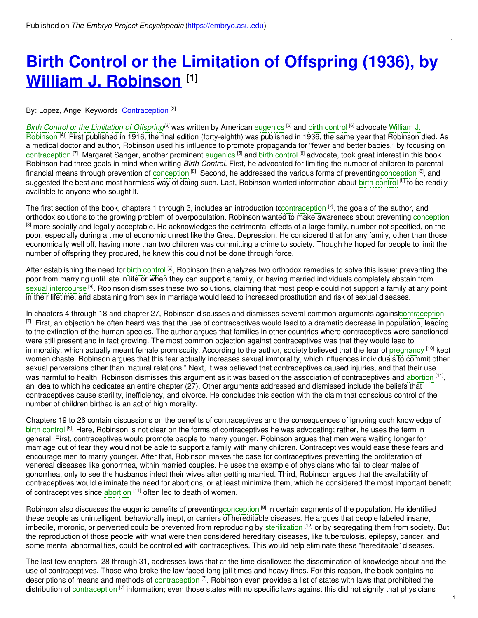# **Birth Control or the [Limitation](https://embryo.asu.edu/pages/birth-control-or-limitation-offspring-1936-william-j-robinson) of Offspring (1936), by William J. Robinson [1]**

## By: Lopez, Angel Keywords: <u>[Contraception](https://embryo.asu.edu/keywords/contraception)</u> <sup>[2]</sup>

*Birth Control or the [Limitation](https://embryo.asu.edu/search?text=Birth%20Control%20or%20the%20Limitation%20of%20Offspring) of Offspring [3]* was written by American [eugenics](https://embryo.asu.edu/search?text=eugenics) [5] and birth [control](https://embryo.asu.edu/search?text=birth%20control) [6] advocate William J. Robinson <sup>[4]</sup>. First published in 1916, the final edition [\(forty-eighth\)](https://embryo.asu.edu/search?text=William%20J.%20Robinson) was published in 1936, the same year that Robinson died. As a medical doctor and author, Robinson used his influence to promote propaganda for "fewer and better babies," by focusing on [contraception](https://embryo.asu.edu/search?text=contraception) <sup>[7]</sup>. Margaret Sanger, another prominent [eugenics](https://embryo.asu.edu/search?text=eugenics) <sup>[5]</sup> and birth [control](https://embryo.asu.edu/search?text=birth%20control) <sup>[6]</sup> advocate, took great interest in this book. Robinson had three goals in mind when writing *Birth Control*. First, he advocated for limiting the number of children to parental financial means through prevention of [conception](https://embryo.asu.edu/search?text=conception) <sup>[8]</sup>. Second, he addressed the various forms of preventingconception <sup>[8]</sup>, and suggested the best and most harmless way of doing such. Last, Robinson wanted information about birth [control](https://embryo.asu.edu/search?text=birth%20control) <sup>[6]</sup> to be readily available to anyone who sought it.

The first section of the book, chapters 1 through 3, includes an introduction t[ocontraception](https://embryo.asu.edu/search?text=contraception) <sup>[7]</sup>, the goals of the author, and orthodox solutions to the growing problem of overpopulation. Robinson wanted to make awareness about preventing [conception](https://embryo.asu.edu/search?text=conception) <sup>[8]</sup> more socially and legally acceptable. He acknowledges the detrimental effects of a large family, number not specified, on the poor, especially during a time of economic unrest like the Great Depression. He considered that for any family, other than those economically well off, having more than two children was committing a crime to society. Though he hoped for people to limit the number of offspring they procured, he knew this could not be done through force.

After establishing the need for birth [control](https://embryo.asu.edu/search?text=birth%20control) <sup>[6]</sup>, Robinson then analyzes two orthodox remedies to solve this issue: preventing the poor from marrying until late in life or when they can support a family, or having married individuals completely abstain from sexual [intercourse](https://embryo.asu.edu/search?text=sexual%20intercourse) <sup>[9]</sup>. Robinson dismisses these two solutions, claiming that most people could not support a family at any point in their lifetime, and abstaining from sex in marriage would lead to increased prostitution and risk of sexual diseases.

In chapters 4 through 18 and chapter 27, Robinson discusses and dismisses several common arguments agains[tcontraception](https://embryo.asu.edu/search?text=contraception)  $^{[7]}$ . First, an objection he often heard was that the use of contraceptives would lead to a dramatic decrease in population, leading to the extinction of the human species. The author argues that families in other countries where contraceptives were sanctioned were still present and in fact growing. The most common objection against contraceptives was that they would lead to immorality, which actually meant female promiscuity. According to the author, society believed that the fear of [pregnancy](https://embryo.asu.edu/search?text=pregnancy) <sup>[10]</sup> kept women chaste. Robinson argues that this fear actually increases sexual immorality, which influences individuals to commit other sexual perversions other than "natural relations." Next, it was believed that contraceptives caused injuries, and that their use was harmful to health. Robinson dismisses this argument as it was based on the association of contraceptives and [abortion](https://embryo.asu.edu/search?text=abortion) <sup>[11]</sup>, an idea to which he dedicates an entire chapter (27). Other arguments addressed and dismissed include the beliefs that contraceptives cause sterility, inefficiency, and divorce. He concludes this section with the claim that conscious control of the number of children birthed is an act of high morality.

Chapters 19 to 26 contain discussions on the benefits of contraceptives and the consequences of ignoring such knowledge of birth [control](https://embryo.asu.edu/search?text=birth%20control) <sup>[6]</sup>. Here, Robinson is not clear on the forms of contraceptives he was advocating; rather, he uses the term in general. First, contraceptives would promote people to marry younger. Robinson argues that men were waiting longer for marriage out of fear they would not be able to support a family with many children. Contraceptives would ease these fears and encourage men to marry younger. After that, Robinson makes the case for contraceptives preventing the proliferation of venereal diseases like gonorrhea, within married couples. He uses the example of physicians who fail to clear males of gonorrhea, only to see the husbands infect their wives after getting married. Third, Robinson argues that the availability of contraceptives would eliminate the need for abortions, or at least minimize them, which he considered the most important benefit of contraceptives since [abortion](https://embryo.asu.edu/search?text=abortion) [11] often led to death of women.

Robinson also discusses the eugenic benefits of preventing[conception](https://embryo.asu.edu/search?text=conception) <sup>[8]</sup> in certain segments of the population. He identified these people as unintelligent, behaviorally inept, or carriers of hereditable diseases. He argues that people labeled insane, imbecile, moronic, or perverted could be prevented from reproducing by [sterilization](https://embryo.asu.edu/search?text=sterilization) <sup>[12]</sup> or by segregating them from society. But the reproduction of those people with what were then considered hereditary diseases, like tuberculosis, epilepsy, cancer, and some mental abnormalities, could be controlled with contraceptives. This would help eliminate these "hereditable" diseases.

The last few chapters, 28 through 31, addresses laws that at the time disallowed the dissemination of knowledge about and the use of contraceptives. Those who broke the law faced long jail times and heavy fines. For this reason, the book contains no descriptions of means and methods of [contraception](https://embryo.asu.edu/search?text=contraception) <sup>[7]</sup>. Robinson even provides a list of states with laws that prohibited the distribution of [contraception](https://embryo.asu.edu/search?text=contraception) <sup>[7]</sup> information; even those states with no specific laws against this did not signify that physicians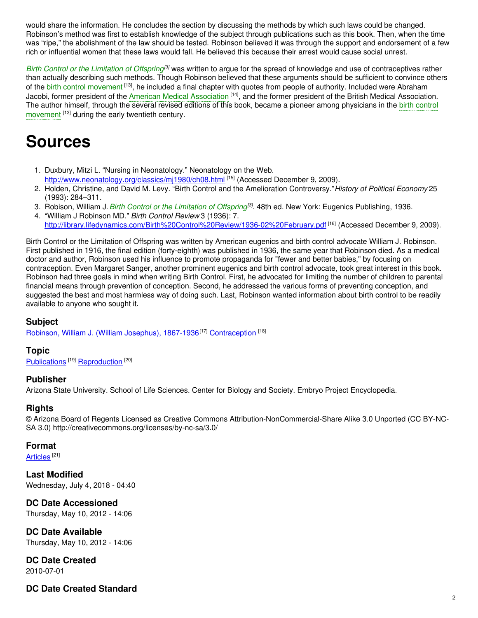would share the information. He concludes the section by discussing the methods by which such laws could be changed. Robinson's method was first to establish knowledge of the subject through publications such as this book. Then, when the time was "ripe," the abolishment of the law should be tested. Robinson believed it was through the support and endorsement of a few rich or influential women that these laws would fall. He believed this because their arrest would cause social unrest.

*Birth Control or the [Limitation](https://embryo.asu.edu/search?text=Birth%20Control%20or%20the%20Limitation%20of%20Offspring) of Offspring<sup>(3)</sup> was written to argue for the spread of knowledge and use of contraceptives rather* than actually describing such methods. Though Robinson believed that these arguments should be sufficient to convince others of the birth control [movement](https://embryo.asu.edu/search?text=birth%20control%20movement) <sup>[13]</sup>, he included a final chapter with quotes from people of authority. Included were Abraham Jacobi, former president of the American Medical [Association](https://embryo.asu.edu/search?text=American%20Medical%20Association) [14], and the former president of the British Medical Association. The author himself, through the several revised editions of this book, became a pioneer among physicians in the birth control [movement](https://embryo.asu.edu/search?text=birth%20control%20movement) <sup>[13]</sup> during the early twentieth century.

## **Sources**

- 1. Duxbury, Mitzi L. "Nursing in Neonatology." Neonatology on the Web. <http://www.neonatology.org/classics/mj1980/ch08.html> [15] (Accessed December 9, 2009).
- 2. Holden, Christine, and David M. Levy. "Birth Control and the Amelioration Controversy."*History of Political Economy* 25 (1993): 284–311.
- 3. Robison, William J.*Birth Control or the [Limitation](https://embryo.asu.edu/search?text=Birth%20Control%20or%20the%20Limitation%20of%20Offspring) of Offspring [3]* . 48th ed. New York: Eugenics Publishing, 1936.
- 4. "William J Robinson MD." *Birth Control Review* 3 (1936): 7. <http://library.lifedynamics.com/Birth%20Control%20Review/1936-02%20February.pdf> [16] (Accessed December 9, 2009).

Birth Control or the Limitation of Offspring was written by American eugenics and birth control advocate William J. Robinson. First published in 1916, the final edition (forty-eighth) was published in 1936, the same year that Robinson died. As a medical doctor and author, Robinson used his influence to promote propaganda for "fewer and better babies," by focusing on contraception. Even Margaret Sanger, another prominent eugenics and birth control advocate, took great interest in this book. Robinson had three goals in mind when writing Birth Control. First, he advocated for limiting the number of children to parental financial means through prevention of conception. Second, he addressed the various forms of preventing conception, and suggested the best and most harmless way of doing such. Last, Robinson wanted information about birth control to be readily available to anyone who sought it.

## **Subject**

Robinson, William J. (William [Josephus\),](https://embryo.asu.edu/library-congress-subject-headings/robinson-william-j-william-josephus-1867-1936) 1867-1936<sup>[17]</sup> [Contraception](https://embryo.asu.edu/medical-subject-headings/contraception) <sup>[18]</sup>

#### **Topic**

[Publications](https://embryo.asu.edu/topics/publications)<sup>[19]</sup> [Reproduction](https://embryo.asu.edu/topics/reproduction)<sup>[20]</sup>

## **Publisher**

Arizona State University. School of Life Sciences. Center for Biology and Society. Embryo Project Encyclopedia.

## **Rights**

© Arizona Board of Regents Licensed as Creative Commons Attribution-NonCommercial-Share Alike 3.0 Unported (CC BY-NC-SA 3.0) http://creativecommons.org/licenses/by-nc-sa/3.0/

#### **Format**

<u>[Articles](https://embryo.asu.edu/formats/articles)</u>  $^{[21]}$ 

**Last Modified** Wednesday, July 4, 2018 - 04:40

**DC Date Accessioned**

Thursday, May 10, 2012 - 14:06

**DC Date Available** Thursday, May 10, 2012 - 14:06

**DC Date Created** 2010-07-01

## **DC Date Created Standard**